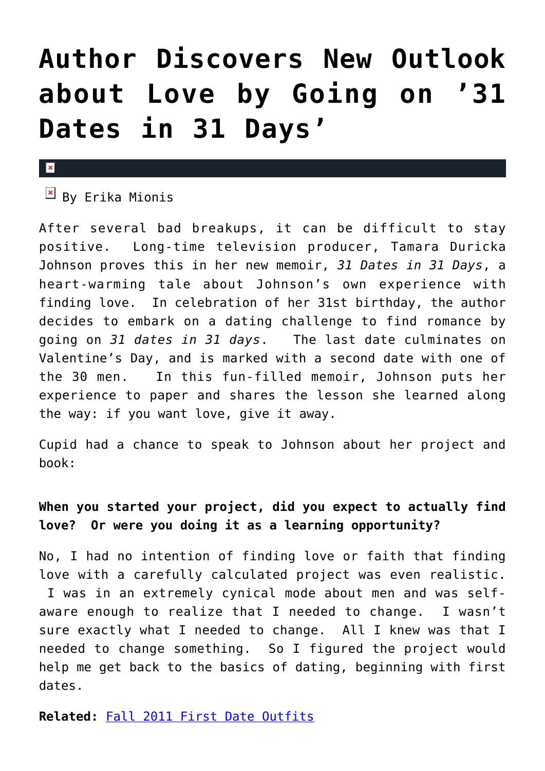# **[Author Discovers New Outlook](https://cupidspulse.com/22209/book-reviewnew-author-tamara-duricka-johnson-finds-a-new-outlook-on-love-by-going-on-31-dates-in-31-days/) [about Love by Going on '31](https://cupidspulse.com/22209/book-reviewnew-author-tamara-duricka-johnson-finds-a-new-outlook-on-love-by-going-on-31-dates-in-31-days/) [Dates in 31 Days'](https://cupidspulse.com/22209/book-reviewnew-author-tamara-duricka-johnson-finds-a-new-outlook-on-love-by-going-on-31-dates-in-31-days/)**

#### $\mathbf{x}$

 $\overline{B}$  By Erika Mionis

After several bad breakups, it can be difficult to stay positive. Long-time television producer, Tamara Duricka Johnson proves this in her new memoir, *31 Dates in 31 Days*, a heart-warming tale about Johnson's own experience with finding love. In celebration of her 31st birthday, the author decides to embark on a dating challenge to find romance by going on *31 dates in 31 days*. The last date culminates on Valentine's Day, and is marked with a second date with one of the 30 men. In this fun-filled memoir, Johnson puts her experience to paper and shares the lesson she learned along the way: if you want love, give it away.

Cupid had a chance to speak to Johnson about her project and book:

## **When you started your project, did you expect to actually find love? Or were you doing it as a learning opportunity?**

No, I had no intention of finding love or faith that finding love with a carefully calculated project was even realistic. I was in an extremely cynical mode about men and was selfaware enough to realize that I needed to change. I wasn't sure exactly what I needed to change. All I knew was that I needed to change something. So I figured the project would help me get back to the basics of dating, beginning with first dates.

**Related:** [Fall 2011 First Date Outfits](http://cupidspulse.com/what-to-wear-on-first-dates-for-guys-and-girls-in-fall-2011/)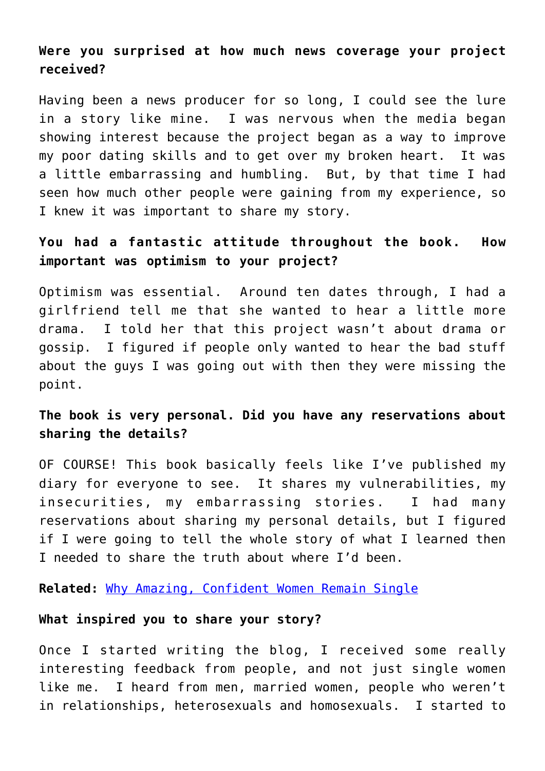### **Were you surprised at how much news coverage your project received?**

Having been a news producer for so long, I could see the lure in a story like mine. I was nervous when the media began showing interest because the project began as a way to improve my poor dating skills and to get over my broken heart. It was a little embarrassing and humbling. But, by that time I had seen how much other people were gaining from my experience, so I knew it was important to share my story.

### **You had a fantastic attitude throughout the book. How important was optimism to your project?**

Optimism was essential. Around ten dates through, I had a girlfriend tell me that she wanted to hear a little more drama. I told her that this project wasn't about drama or gossip. I figured if people only wanted to hear the bad stuff about the guys I was going out with then they were missing the point.

### **The book is very personal. Did you have any reservations about sharing the details?**

OF COURSE! This book basically feels like I've published my diary for everyone to see. It shares my vulnerabilities, my insecurities, my embarrassing stories. I had many reservations about sharing my personal details, but I figured if I were going to tell the whole story of what I learned then I needed to share the truth about where I'd been.

**Related:** [Why Amazing, Confident Women Remain Single](http://cupidspulse.com/why-amazing-confident-women-remain-single-amber-soletti-onspeeddating-guest/)

#### **What inspired you to share your story?**

Once I started writing the blog, I received some really interesting feedback from people, and not just single women like me. I heard from men, married women, people who weren't in relationships, heterosexuals and homosexuals. I started to